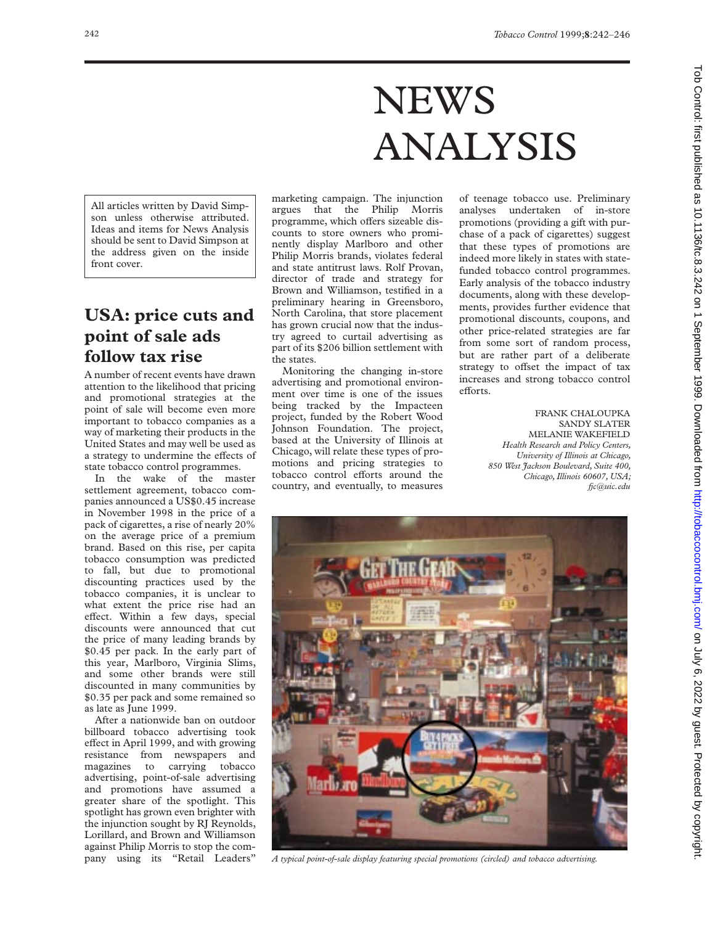# NEWS ANALYSIS

All articles written by David Simpson unless otherwise attributed. Ideas and items for News Analysis should be sent to David Simpson at the address given on the inside front cover.

#### **USA: price cuts and point of sale ads follow tax rise**

A number of recent events have drawn attention to the likelihood that pricing and promotional strategies at the point of sale will become even more important to tobacco companies as a way of marketing their products in the United States and may well be used as a strategy to undermine the effects of state tobacco control programmes.

In the wake of the master settlement agreement, tobacco companies announced a US\$0.45 increase in November 1998 in the price of a pack of cigarettes, a rise of nearly 20% on the average price of a premium brand. Based on this rise, per capita tobacco consumption was predicted to fall, but due to promotional discounting practices used by the tobacco companies, it is unclear to what extent the price rise had an effect. Within a few days, special discounts were announced that cut the price of many leading brands by \$0.45 per pack. In the early part of this year, Marlboro, Virginia Slims, and some other brands were still discounted in many communities by \$0.35 per pack and some remained so as late as June 1999.

After a nationwide ban on outdoor billboard tobacco advertising took effect in April 1999, and with growing resistance from newspapers and magazines to carrying tobacco advertising, point-of-sale advertising and promotions have assumed a greater share of the spotlight. This spotlight has grown even brighter with the injunction sought by RJ Reynolds, Lorillard, and Brown and Williamson against Philip Morris to stop the company using its "Retail Leaders"

marketing campaign. The injunction argues that the Philip Morris programme, which offers sizeable discounts to store owners who prominently display Marlboro and other Philip Morris brands, violates federal and state antitrust laws. Rolf Provan, director of trade and strategy for Brown and Williamson, testified in a preliminary hearing in Greensboro, North Carolina, that store placement has grown crucial now that the industry agreed to curtail advertising as part of its \$206 billion settlement with the states.

Monitoring the changing in-store advertising and promotional environment over time is one of the issues being tracked by the Impacteen project, funded by the Robert Wood Johnson Foundation. The project, based at the University of Illinois at Chicago, will relate these types of promotions and pricing strategies to tobacco control efforts around the country, and eventually, to measures of teenage tobacco use. Preliminary analyses undertaken of in-store promotions (providing a gift with purchase of a pack of cigarettes) suggest that these types of promotions are indeed more likely in states with statefunded tobacco control programmes. Early analysis of the tobacco industry documents, along with these developments, provides further evidence that promotional discounts, coupons, and other price-related strategies are far from some sort of random process, but are rather part of a deliberate strategy to offset the impact of tax increases and strong tobacco control efforts.

> FRANK CHALOUPKA SANDY SLATER MELANIE WAKEFIELD *Health Research and Policy Centers, University of Illinois at Chicago, 850 West Jackson Boulevard, Suite 400, Chicago, Illinois 60607, USA; fjc@uic.edu*



*A typical point-of-sale display featuring special promotions (circled) and tobacco advertising.*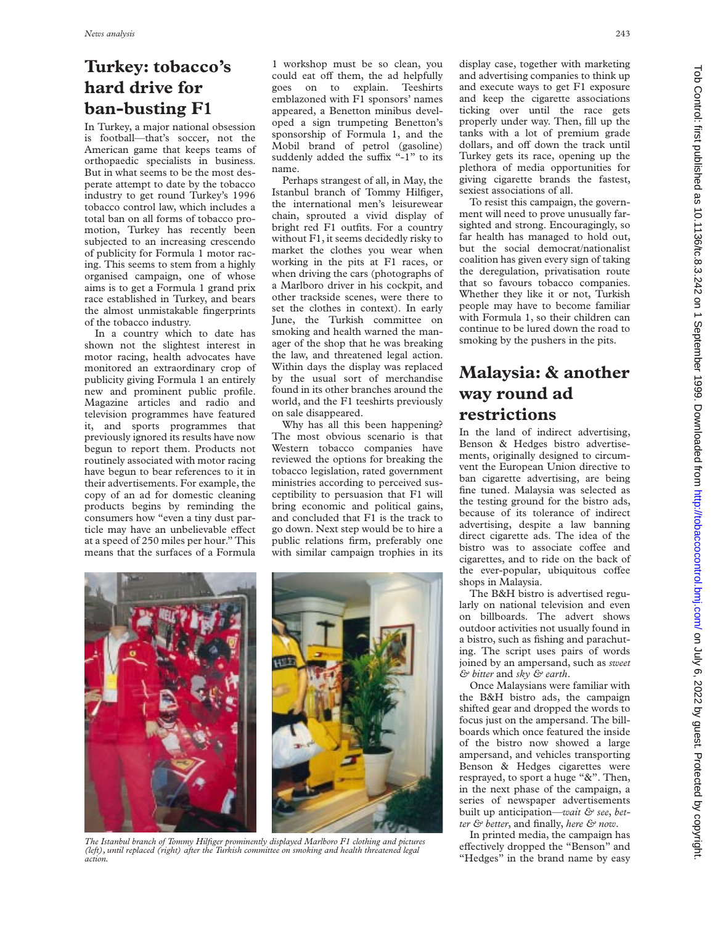#### **Turkey: tobacco's hard drive for ban-busting F1**

In Turkey, a major national obsession is football—that's soccer, not the American game that keeps teams of orthopaedic specialists in business. But in what seems to be the most desperate attempt to date by the tobacco industry to get round Turkey's 1996 tobacco control law, which includes a total ban on all forms of tobacco promotion, Turkey has recently been subjected to an increasing crescendo of publicity for Formula 1 motor racing. This seems to stem from a highly organised campaign, one of whose aims is to get a Formula 1 grand prix race established in Turkey, and bears the almost unmistakable fingerprints of the tobacco industry.

In a country which to date has shown not the slightest interest in motor racing, health advocates have monitored an extraordinary crop of publicity giving Formula 1 an entirely new and prominent public profile. Magazine articles and radio and television programmes have featured it, and sports programmes that previously ignored its results have now begun to report them. Products not routinely associated with motor racing have begun to bear references to it in their advertisements. For example, the copy of an ad for domestic cleaning products begins by reminding the consumers how "even a tiny dust particle may have an unbelievable effect at a speed of 250 miles per hour." This means that the surfaces of a Formula

1 workshop must be so clean, you could eat off them, the ad helpfully goes on to explain. Teeshirts emblazoned with F1 sponsors' names appeared, a Benetton minibus developed a sign trumpeting Benetton's sponsorship of Formula 1, and the Mobil brand of petrol (gasoline) suddenly added the suffix "-1" to its name.

Perhaps strangest of all, in May, the Istanbul branch of Tommy Hilfiger, the international men's leisurewear chain, sprouted a vivid display of bright red F1 outfits. For a country without F1, it seems decidedly risky to market the clothes you wear when working in the pits at F1 races, or when driving the cars (photographs of a Marlboro driver in his cockpit, and other trackside scenes, were there to set the clothes in context). In early June, the Turkish committee on smoking and health warned the manager of the shop that he was breaking the law, and threatened legal action. Within days the display was replaced by the usual sort of merchandise found in its other branches around the world, and the F1 teeshirts previously on sale disappeared.

Why has all this been happening? The most obvious scenario is that Western tobacco companies have reviewed the options for breaking the tobacco legislation, rated government ministries according to perceived susceptibility to persuasion that F1 will bring economic and political gains, and concluded that F1 is the track to go down. Next step would be to hire a public relations firm, preferably one with similar campaign trophies in its



*The Istanbul branch of Tommy Hilfiger prominently displayed Marlboro F1 clothing and pictures (left), until replaced (right) after the Turkish committee on smoking and health threatened legal action.*

display case, together with marketing and advertising companies to think up and execute ways to get F1 exposure and keep the cigarette associations ticking over until the race gets properly under way. Then, fill up the tanks with a lot of premium grade dollars, and off down the track until Turkey gets its race, opening up the plethora of media opportunities for giving cigarette brands the fastest, sexiest associations of all.

To resist this campaign, the government will need to prove unusually farsighted and strong. Encouragingly, so far health has managed to hold out, but the social democrat/nationalist coalition has given every sign of taking the deregulation, privatisation route that so favours tobacco companies. Whether they like it or not, Turkish people may have to become familiar with Formula 1, so their children can continue to be lured down the road to smoking by the pushers in the pits.

## **Malaysia: & another way round ad restrictions**

In the land of indirect advertising, Benson & Hedges bistro advertisements, originally designed to circumvent the European Union directive to ban cigarette advertising, are being fine tuned. Malaysia was selected as the testing ground for the bistro ads, because of its tolerance of indirect advertising, despite a law banning direct cigarette ads. The idea of the bistro was to associate coffee and cigarettes, and to ride on the back of the ever-popular, ubiquitous coffee shops in Malaysia.

The B&H bistro is advertised regularly on national television and even on billboards. The advert shows outdoor activities not usually found in a bistro, such as fishing and parachuting. The script uses pairs of words joined by an ampersand, such as *sweet & bitter* and *sky & earth*.

Once Malaysians were familiar with the B&H bistro ads, the campaign shifted gear and dropped the words to focus just on the ampersand. The billboards which once featured the inside of the bistro now showed a large ampersand, and vehicles transporting Benson & Hedges cigarettes were resprayed, to sport a huge "&". Then, in the next phase of the campaign, a series of newspaper advertisements built up anticipation—*wait & see*, *better & better*, and finally, *here & now*.

In printed media, the campaign has effectively dropped the "Benson" and "Hedges" in the brand name by easy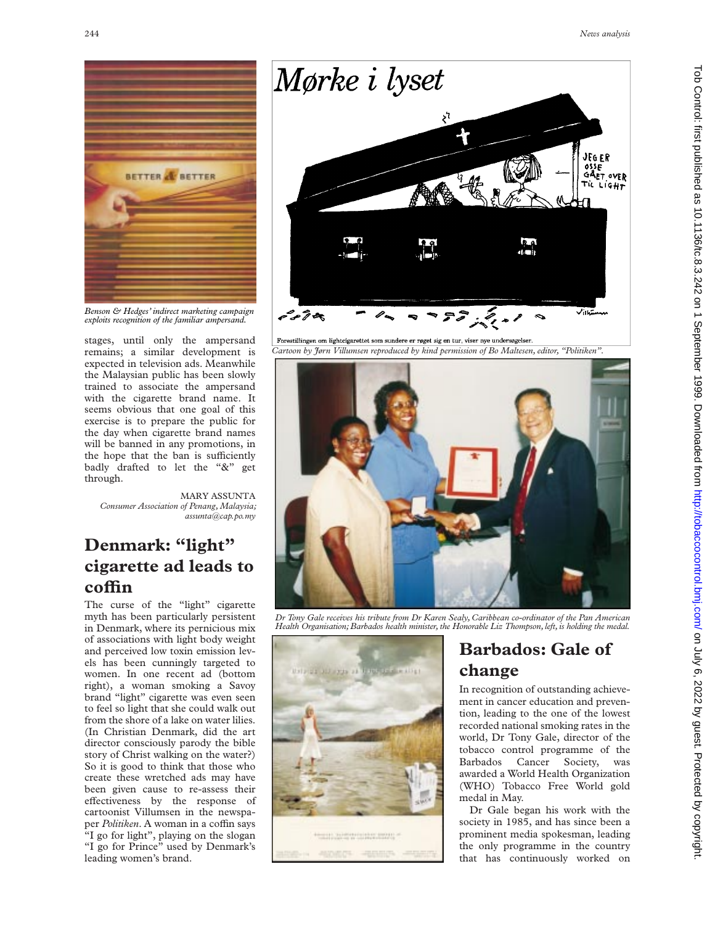

*Benson & Hedges' indirect marketing campaign exploits recognition of the familiar ampersand.*

stages, until only the ampersand remains; a similar development is expected in television ads. Meanwhile the Malaysian public has been slowly trained to associate the ampersand with the cigarette brand name. It seems obvious that one goal of this exercise is to prepare the public for the day when cigarette brand names will be banned in any promotions, in the hope that the ban is sufficiently badly drafted to let the "&" get through.

MARY ASSUNTA *Consumer Association of Penang, Malaysia; assunta@cap.po.my*

### **Denmark: "light" cigarette ad leads to coYn**

The curse of the "light" cigarette myth has been particularly persistent in Denmark, where its pernicious mix of associations with light body weight and perceived low toxin emission levels has been cunningly targeted to women. In one recent ad (bottom right), a woman smoking a Savoy brand "light" cigarette was even seen to feel so light that she could walk out from the shore of a lake on water lilies. (In Christian Denmark, did the art director consciously parody the bible story of Christ walking on the water?) So it is good to think that those who create these wretched ads may have been given cause to re-assess their effectiveness by the response of cartoonist Villumsen in the newspaper *Politiken*. A woman in a coffin says "I go for light", playing on the slogan "I go for Prince" used by Denmark's leading women's brand.



Forestillingen om lightcigarettet som sundere er røget sig en tur, viser nye undersøgelser. *Cartoon by Jørn Villumsen reproduced by kind permission of Bo Maltesen, editor, "Politiken".*



*Dr Tony Gale receives his tribute from Dr Karen Sealy, Caribbean co-ordinator of the Pan American Health Organisation; Barbados health minister, the Honorable Liz Thompson, left, is holding the medal.*



### **Barbados: Gale of change**

In recognition of outstanding achievement in cancer education and prevention, leading to the one of the lowest recorded national smoking rates in the world, Dr Tony Gale, director of the tobacco control programme of the Barbados Cancer Society, was awarded a World Health Organization (WHO) Tobacco Free World gold medal in May.

Dr Gale began his work with the society in 1985, and has since been a prominent media spokesman, leading the only programme in the country that has continuously worked on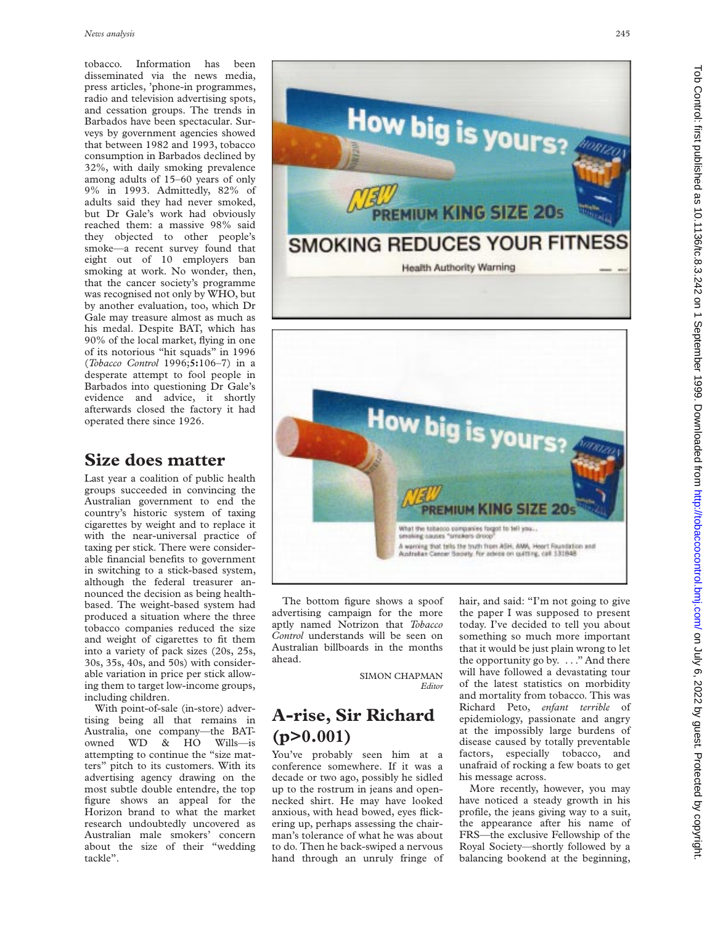tobacco. Information has been disseminated via the news media, press articles, 'phone-in programmes, radio and television advertising spots, and cessation groups. The trends in Barbados have been spectacular. Surveys by government agencies showed that between 1982 and 1993, tobacco consumption in Barbados declined by 32%, with daily smoking prevalence among adults of 15–60 years of only 9% in 1993. Admittedly, 82% of adults said they had never smoked, but Dr Gale's work had obviously reached them: a massive 98% said they objected to other people's smoke—a recent survey found that eight out of 10 employers ban smoking at work. No wonder, then, that the cancer society's programme was recognised not only by WHO, but by another evaluation, too, which Dr Gale may treasure almost as much as his medal. Despite BAT, which has 90% of the local market, flying in one of its notorious "hit squads" in 1996 (*Tobacco Control* 1996;**5:**106–7) in a desperate attempt to fool people in Barbados into questioning Dr Gale's evidence and advice, it shortly afterwards closed the factory it had operated there since 1926.

#### **Size does matter**

Last year a coalition of public health groups succeeded in convincing the Australian government to end the country's historic system of taxing cigarettes by weight and to replace it with the near-universal practice of taxing per stick. There were considerable financial benefits to government in switching to a stick-based system, although the federal treasurer announced the decision as being healthbased. The weight-based system had produced a situation where the three tobacco companies reduced the size and weight of cigarettes to fit them into a variety of pack sizes (20s, 25s, 30s, 35s, 40s, and 50s) with considerable variation in price per stick allowing them to target low-income groups, including children.

With point-of-sale (in-store) advertising being all that remains in Australia, one company—the BATowned WD & HO Wills—is attempting to continue the "size matters" pitch to its customers. With its advertising agency drawing on the most subtle double entendre, the top figure shows an appeal for the Horizon brand to what the market research undoubtedly uncovered as Australian male smokers' concern about the size of their "wedding tackle".



What the follocco companies forgot to tell you...<br>sensing courses "smokers droop"

A warning that tells the truth from ASH. AMA, Heart Raundation and Australian Cencer Society. For advise on quitting, call 131848

The bottom figure shows a spoof advertising campaign for the more aptly named Notrizon that *Tobacco Control* understands will be seen on Australian billboards in the months ahead.

> SIMON CHAPMAN *Editor*

#### **A-rise, Sir Richard (p>0.001)**

You've probably seen him at a conference somewhere. If it was a decade or two ago, possibly he sidled up to the rostrum in jeans and opennecked shirt. He may have looked anxious, with head bowed, eyes flickering up, perhaps assessing the chairman's tolerance of what he was about to do. Then he back-swiped a nervous hand through an unruly fringe of hair, and said: "I'm not going to give the paper I was supposed to present today. I've decided to tell you about something so much more important that it would be just plain wrong to let the opportunity go by. . . ." And there will have followed a devastating tour of the latest statistics on morbidity and mortality from tobacco. This was Richard Peto, *enfant terrible* of epidemiology, passionate and angry at the impossibly large burdens of disease caused by totally preventable factors, especially tobacco, and unafraid of rocking a few boats to get his message across.

More recently, however, you may have noticed a steady growth in his profile, the jeans giving way to a suit, the appearance after his name of FRS—the exclusive Fellowship of the Royal Society—shortly followed by a balancing bookend at the beginning,